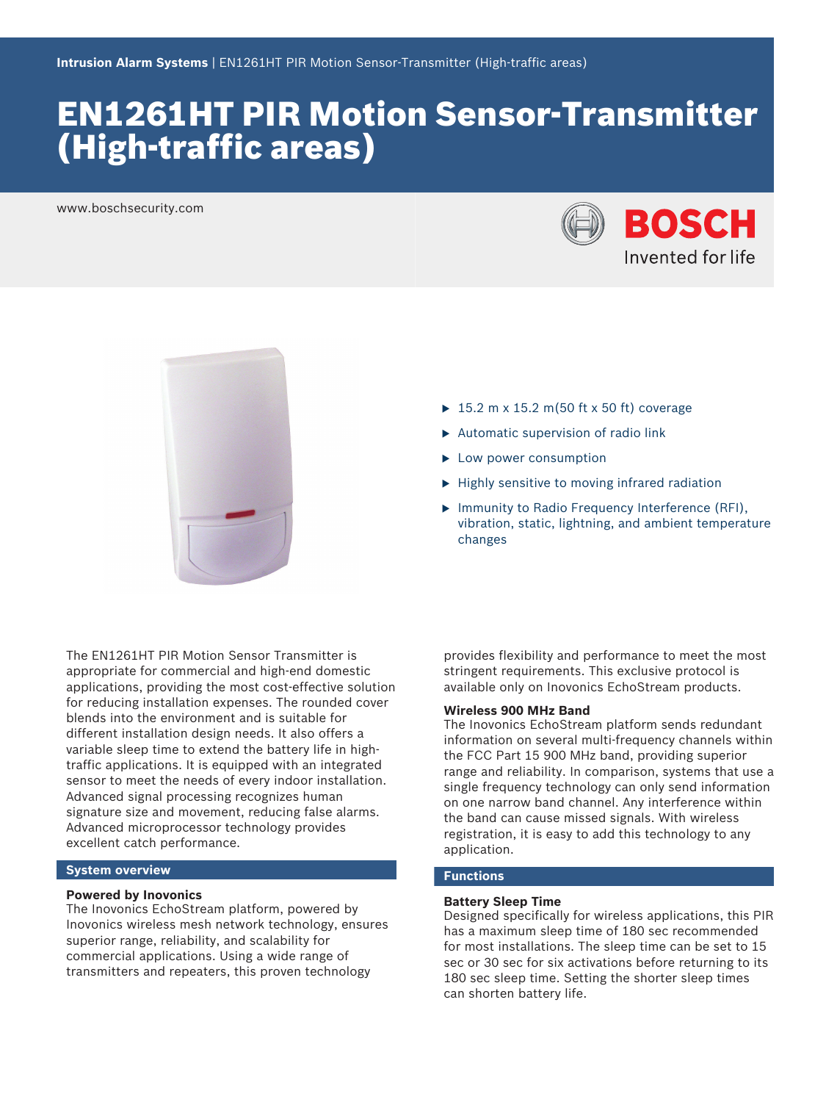# EN1261HT PIR Motion Sensor-Transmitter (High-traffic areas)

www.boschsecurity.com





- $\blacktriangleright$  15.2 m x 15.2 m(50 ft x 50 ft) coverage
- $\blacktriangleright$  Automatic supervision of radio link
- $\blacktriangleright$  Low power consumption
- $\blacktriangleright$  Highly sensitive to moving infrared radiation
- ▶ Immunity to Radio Frequency Interference (RFI), vibration, static, lightning, and ambient temperature changes

The EN1261HT PIR Motion Sensor Transmitter is appropriate for commercial and high-end domestic applications, providing the most cost-effective solution for reducing installation expenses. The rounded cover blends into the environment and is suitable for different installation design needs. It also offers a variable sleep time to extend the battery life in hightraffic applications. It is equipped with an integrated sensor to meet the needs of every indoor installation. Advanced signal processing recognizes human signature size and movement, reducing false alarms. Advanced microprocessor technology provides excellent catch performance.

#### **System overview**

#### **Powered by Inovonics**

The Inovonics EchoStream platform, powered by Inovonics wireless mesh network technology, ensures superior range, reliability, and scalability for commercial applications. Using a wide range of transmitters and repeaters, this proven technology

provides flexibility and performance to meet the most stringent requirements. This exclusive protocol is available only on Inovonics EchoStream products.

# **Wireless 900 MHz Band**

The Inovonics EchoStream platform sends redundant information on several multi-frequency channels within the FCC Part 15 900 MHz band, providing superior range and reliability. In comparison, systems that use a single frequency technology can only send information on one narrow band channel. Any interference within the band can cause missed signals. With wireless registration, it is easy to add this technology to any application.

### **Functions**

#### **Battery Sleep Time**

Designed specifically for wireless applications, this PIR has a maximum sleep time of 180 sec recommended for most installations. The sleep time can be set to 15 sec or 30 sec for six activations before returning to its 180 sec sleep time. Setting the shorter sleep times can shorten battery life.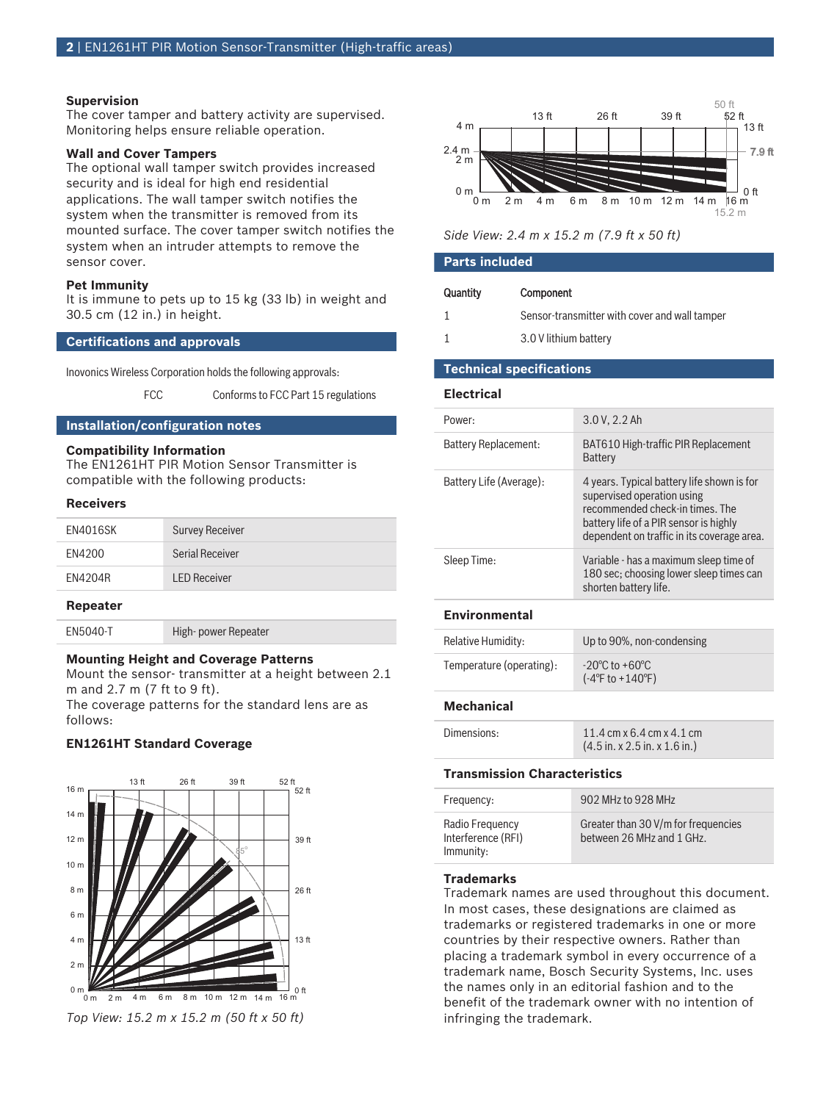#### **Supervision**

The cover tamper and battery activity are supervised. Monitoring helps ensure reliable operation.

### **Wall and Cover Tampers**

The optional wall tamper switch provides increased security and is ideal for high end residential applications. The wall tamper switch notifies the system when the transmitter is removed from its mounted surface. The cover tamper switch notifies the system when an intruder attempts to remove the sensor cover.

# **Pet Immunity**

It is immune to pets up to 15 kg (33 lb) in weight and 30.5 cm (12 in.) in height.

# **Certifications and approvals**

Inovonics Wireless Corporation holds the following approvals:

# FCC Conforms to FCC Part 15 regulations

# **Installation/configuration notes**

#### **Compatibility Information**

The EN1261HT PIR Motion Sensor Transmitter is compatible with the following products:

### **Receivers**

| EN4016SK | <b>Survey Receiver</b> |
|----------|------------------------|
| FN4200   | Serial Receiver        |
| FN4204R  | <b>LED Receiver</b>    |
|          |                        |

# **Repeater**

EN5040-T High-power Repeater

### **Mounting Height and Coverage Patterns**

Mount the sensor‑ transmitter at a height between 2.1 m and 2.7 m (7 ft to 9 ft).

The coverage patterns for the standard lens are as follows:

# **EN1261HT Standard Coverage**



0 m 0 m 2 m 2 m 4 m 6 m  $0<sup>ft</sup>$ 7.9 ft 8 m 10 m 12 m 13 ft 26 ft 39 ft  $16 m$  $52$  ft<br>- 13 ft  $4 \text{ m}$   $\rightarrow$  13 ft 2.4 m 50 ft 15.2 m

| Side View: 2.4 m x 15.2 m (7.9 ft x 50 ft) |
|--------------------------------------------|
|--------------------------------------------|

#### **Parts included**

| Quantity | Component                                     |
|----------|-----------------------------------------------|
|          | Sensor-transmitter with cover and wall tamper |

1 3.0 V lithium battery

# **Technical specifications**

#### **Electrical**

| Power:                  | 3.0 V, 2.2 Ah                                                                                                                                                                                       |
|-------------------------|-----------------------------------------------------------------------------------------------------------------------------------------------------------------------------------------------------|
| Battery Replacement:    | BAT610 High-traffic PIR Replacement<br><b>Battery</b>                                                                                                                                               |
| Battery Life (Average): | 4 years. Typical battery life shown is for<br>supervised operation using<br>recommended check-in times. The<br>battery life of a PIR sensor is highly<br>dependent on traffic in its coverage area. |
| Sleep Time:             | Variable - has a maximum sleep time of<br>180 sec; choosing lower sleep times can<br>shorten battery life.                                                                                          |
| <b>Environmental</b>    |                                                                                                                                                                                                     |
|                         |                                                                                                                                                                                                     |

| Relative Humidity:       | Up to 90%, non-condensing                                                  |
|--------------------------|----------------------------------------------------------------------------|
| Temperature (operating): | $-20^{\circ}$ C to $+60^{\circ}$ C<br>$(-4^{\circ}$ F to $+140^{\circ}$ F) |

#### **Mechanical**

| Dimensions: | 11.4 cm $\times$ 6.4 cm $\times$ 4.1 cm                   |
|-------------|-----------------------------------------------------------|
|             | $(4.5 \text{ in. x } 2.5 \text{ in. x } 1.6 \text{ in.})$ |

# **Transmission Characteristics**

| Frequency:                                         | 902 MHz to 928 MHz                                               |
|----------------------------------------------------|------------------------------------------------------------------|
| Radio Frequency<br>Interference (RFI)<br>Immunity: | Greater than 30 V/m for frequencies<br>between 26 MHz and 1 GHz. |

### **Trademarks**

Trademark names are used throughout this document. In most cases, these designations are claimed as trademarks or registered trademarks in one or more countries by their respective owners. Rather than placing a trademark symbol in every occurrence of a trademark name, Bosch Security Systems, Inc. uses the names only in an editorial fashion and to the benefit of the trademark owner with no intention of infringing the trademark.